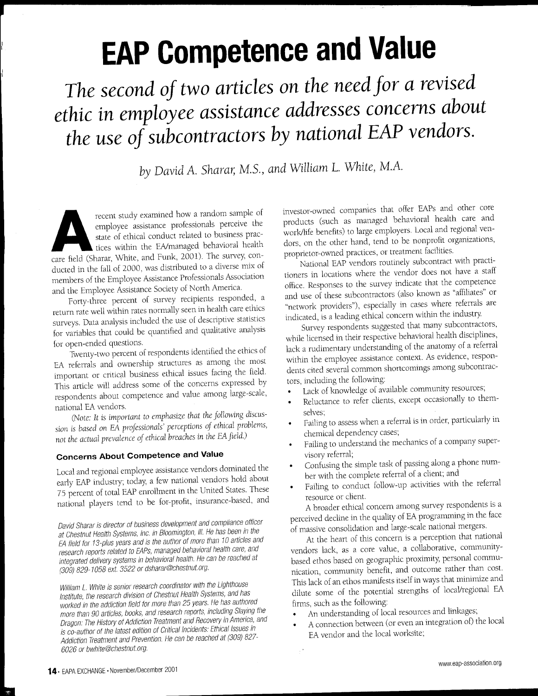## **EAP Competence and Value**

**The second of two articles on the need for a revised ethic in employee assistance addresses concerns about the use of subcontractors by national EAP vendors.**

by David A. Sharar, M.S., and William L. White, M.A.

employee assistance professionals perceive the state of ethical conduct related to business practices within the EA/managed behavioral healt care field (Sharar, White, and Funk, 2001). The survey, conrecent study examined how a random sample of employee assistance professionals perceive the state of ethical conduct related to business practices within the ENmanaged behavioral health ducted in the fall of 2000, was distributed to a diverse mix of members of the Employee Assistance Professionals Association and the Employee Assistance Society of North America.

Forty-three percent of survey recipients responded, a return rate well within rates normally seen in health care ethics surveys. Data analysis included the use of descriptive statistics for variables that could be quantified and qualitative analysis for open-ended questions.

Twenty-two percent of respondents identified the ethics of EA referrals and ownership structures as among the most important or critical business ethical issues facing the field. This article will address some of the concerns expressed by respondents about competence and value among large-scale, national EAvendors.

(Note: It is important to emphasize that the following discussion is based on EA professionals' perceptions of ethical problems, not the actual prevalence of ethical breaches in the EA field.)

## **Concerns About Competence and Value**

local and regional employee assistance vendors dominated the early EAP industry; today, a few national vendors hold about 75 percent of total EAP enrollment in the United States. These national players tend to be for-profit, insurance-based, and

David Sharar is director of business development and compliance officer at Chestnut Health Systems, Inc. in Bloomington, III. He has been in the EA field for 13-plus years and is the author of more than 10 articles and research reports related to EAPs, managed behavioral health care, and integrated delivery systems in behavioral health. He can be reached at (309)*829-1058* ext 3522 or dsharar@chestnut.org.

William *L.* White is senior research coordinator with the Lighthouse Institute, the research division of Chestnut Health Systems, and has worked in the addiction field for more than 25 years. He has authored more than 90 articles, books, and research reports, including Slaying the Dragon: The History of Addiction Treatment and Recovery in America, and is co-author of the latest edition of Critical Incidents: Ethical Issues in Addiction Treatment and Prevention. He can be reached at (309) 827-6026 or bwhite@chestnut.org.

investor-owned companies that offer EAPs and other core products (such as managed behavioral health care and workllife benefits) to large employers. local and regional vendors, on the other hand, tend to be nonprofit organizations, proprietor-owned practices, or treatment facilities.

National EAP vendors routinely subcontract with practitioners in locations where the vendor does not have a staff office. Responses to the survey indicate that the competence and use of these subcontractors (also known as "affiliates" or "network providers"), especially in cases where referrals are indicated, is a leading ethical concern within the industry.

Survey respondents suggested that many subcontractors, while licensed in their respective behavioral health disciplines, lack a rudimentary understanding of the anatomy of a referral within the employee assistance context. As evidence, respondents cited several common shortcomings among subcontractors, including the following:

- lack of knowledge of available community resources;
- Reluctance to refer clients, except occasionally to themselves;
- Failing to assess when a referral is in order, particularly in chemical dependency cases;
- Failing to understand the mechanics of a company supervisory referral;
- Confusing the simple task of passing along a phone number with the complete referral of a client; and
- Failing to conduct follow-up activities with the referral resource or client.

A broader ethical concern among survey respondents is a perceived decline in the quality of EA programming in the face of massive consolidation and large-scale national mergers.

At the heart of this concern is a perception that national vendors lack, as a core value, a collaborative, communitybased ethos based on geographic proximity, personal communication, community benefit, and outcome rather than cost. This lack of an ethos manifests itself in ways that minimize and dilute some of the potential strengths of 10caVregional EA firms, such as the following:

- An understanding of local resources and linkages;
- A connection between (or even an integration of) the local EA vendor and the local worksite;